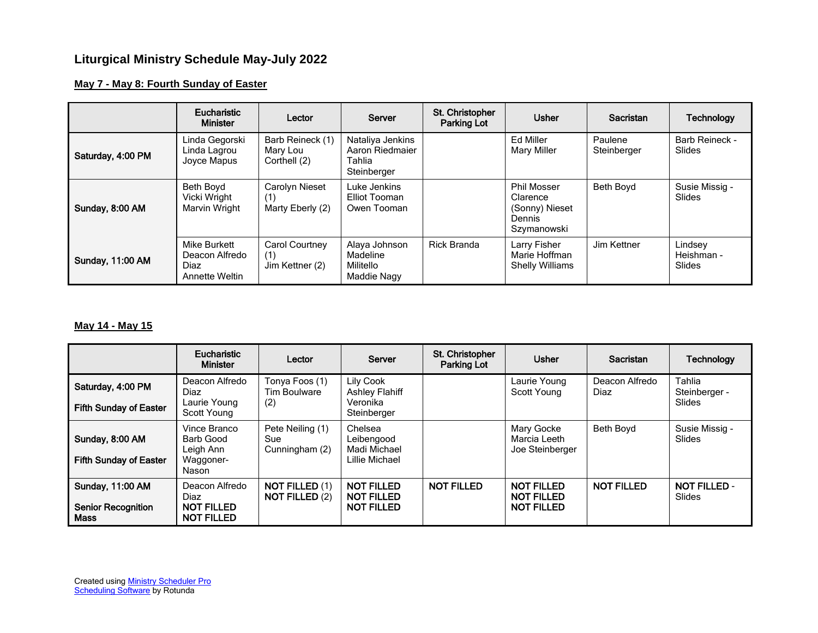# **Liturgical Ministry Schedule May-July 2022**

## **May 7 - May 8: Fourth Sunday of Easter**

|                         | <b>Eucharistic</b><br><b>Minister</b>                    | Lector                                       | Server                                                       | St. Christopher<br>Parking Lot | <b>Usher</b>                                                                     | <b>Sacristan</b>       | <b>Technology</b>               |
|-------------------------|----------------------------------------------------------|----------------------------------------------|--------------------------------------------------------------|--------------------------------|----------------------------------------------------------------------------------|------------------------|---------------------------------|
| Saturday, 4:00 PM       | Linda Gegorski<br>Linda Lagrou<br>Joyce Mapus            | Barb Reineck (1)<br>Mary Lou<br>Corthell (2) | Nataliya Jenkins<br>Aaron Riedmaier<br>Tahlia<br>Steinberger |                                | Ed Miller<br><b>Mary Miller</b>                                                  | Paulene<br>Steinberger | <b>Barb Reineck -</b><br>Slides |
| Sunday, 8:00 AM         | Beth Boyd<br>Vicki Wright<br>Marvin Wright               | Carolyn Nieset<br>(1)<br>Marty Eberly (2)    | Luke Jenkins<br>Elliot Tooman<br>Owen Tooman                 |                                | <b>Phil Mosser</b><br>Clarence<br>(Sonny) Nieset<br><b>Dennis</b><br>Szymanowski | Beth Boyd              | Susie Missig -<br><b>Slides</b> |
| <b>Sunday, 11:00 AM</b> | Mike Burkett<br>Deacon Alfredo<br>Diaz<br>Annette Weltin | Carol Courtney<br>(1)<br>Jim Kettner (2)     | Alaya Johnson<br>Madeline<br>Militello<br>Maddie Nagy        | Rick Branda                    | Larry Fisher<br>Marie Hoffman<br><b>Shelly Williams</b>                          | Jim Kettner            | Lindsey<br>Heishman -<br>Slides |

#### **May 14 - May 15**

|                                                                     | Eucharistic<br><b>Minister</b>                                   | Lector                                         | Server                                                      | St. Christopher<br><b>Parking Lot</b> | <b>Usher</b>                                                | Sacristan              | Technology                    |
|---------------------------------------------------------------------|------------------------------------------------------------------|------------------------------------------------|-------------------------------------------------------------|---------------------------------------|-------------------------------------------------------------|------------------------|-------------------------------|
| Saturday, 4:00 PM                                                   | Deacon Alfredo<br>Diaz                                           | Tonya Foos (1)<br><b>Tim Boulware</b>          | Lily Cook<br><b>Ashley Flahiff</b>                          |                                       | Laurie Young<br>Scott Young                                 | Deacon Alfredo<br>Diaz | Tahlia<br>Steinberger -       |
| <b>Fifth Sunday of Easter</b>                                       | Laurie Young<br>Scott Young                                      | (2)                                            | Veronika<br>Steinberger                                     |                                       |                                                             |                        | Slides                        |
| Sunday, 8:00 AM<br><b>Fifth Sunday of Easter</b>                    | Vince Branco<br>Barb Good<br>Leigh Ann<br>Waggoner-<br>Nason     | Pete Neiling (1)<br>Sue<br>Cunningham (2)      | Chelsea<br>Leibengood<br>Madi Michael<br>Lillie Michael     |                                       | Mary Gocke<br>Marcia Leeth<br>Joe Steinberger               | Beth Boyd              | Susie Missig -<br>Slides      |
| <b>Sunday, 11:00 AM</b><br><b>Senior Recognition</b><br><b>Mass</b> | Deacon Alfredo<br>Diaz<br><b>NOT FILLED</b><br><b>NOT FILLED</b> | <b>NOT FILLED (1)</b><br><b>NOT FILLED (2)</b> | <b>NOT FILLED</b><br><b>NOT FILLED</b><br><b>NOT FILLED</b> | <b>NOT FILLED</b>                     | <b>NOT FILLED</b><br><b>NOT FILLED</b><br><b>NOT FILLED</b> | <b>NOT FILLED</b>      | <b>NOT FILLED -</b><br>Slides |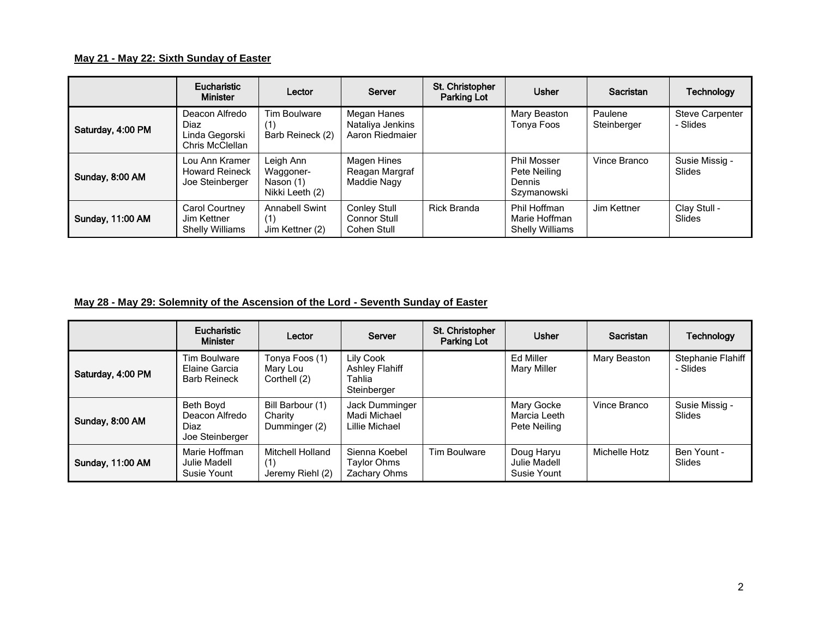## **May 21 - May 22: Sixth Sunday of Easter**

|                         | Eucharistic<br><b>Minister</b>                              | Lector                                                 | Server                                             | St. Christopher<br>Parking Lot | <b>Usher</b>                                                       | Sacristan              | <b>Technology</b>                  |
|-------------------------|-------------------------------------------------------------|--------------------------------------------------------|----------------------------------------------------|--------------------------------|--------------------------------------------------------------------|------------------------|------------------------------------|
| Saturday, 4:00 PM       | Deacon Alfredo<br>Diaz<br>Linda Gegorski<br>Chris McClellan | Tim Boulware<br>'1)<br>Barb Reineck (2)                | Megan Hanes<br>Nataliya Jenkins<br>Aaron Riedmaier |                                | Mary Beaston<br>Tonya Foos                                         | Paulene<br>Steinberger | <b>Steve Carpenter</b><br>- Slides |
| Sunday, 8:00 AM         | Lou Ann Kramer<br><b>Howard Reineck</b><br>Joe Steinberger  | Leigh Ann<br>Waggoner-<br>Nason (1)<br>Nikki Leeth (2) | Magen Hines<br>Reagan Margraf<br>Maddie Nagy       |                                | <b>Phil Mosser</b><br>Pete Neiling<br><b>Dennis</b><br>Szymanowski | Vince Branco           | Susie Missig -<br>Slides           |
| <b>Sunday, 11:00 AM</b> | Carol Courtney<br>Jim Kettner<br><b>Shelly Williams</b>     | <b>Annabell Swint</b><br>(1)<br>Jim Kettner (2)        | <b>Conley Stull</b><br>Connor Stull<br>Cohen Stull | <b>Rick Branda</b>             | Phil Hoffman<br>Marie Hoffman<br><b>Shelly Williams</b>            | Jim Kettner            | Clay Stull -<br>Slides             |

## **May 28 - May 29: Solemnity of the Ascension of the Lord - Seventh Sunday of Easter**

|                   | Eucharistic<br><b>Minister</b>                         | Lector                                             | Server                                                      | St. Christopher<br>Parking Lot | <b>Usher</b>                               | <b>Sacristan</b> | <b>Technology</b>             |
|-------------------|--------------------------------------------------------|----------------------------------------------------|-------------------------------------------------------------|--------------------------------|--------------------------------------------|------------------|-------------------------------|
| Saturday, 4:00 PM | Tim Boulware<br>Elaine Garcia<br><b>Barb Reineck</b>   | Tonya Foos (1)<br>Mary Lou<br>Corthell (2)         | Lily Cook<br><b>Ashley Flahiff</b><br>Tahlia<br>Steinberger |                                | Ed Miller<br>Mary Miller                   | Mary Beaston     | Stephanie Flahiff<br>- Slides |
| Sunday, 8:00 AM   | Beth Boyd<br>Deacon Alfredo<br>Diaz<br>Joe Steinberger | Bill Barbour (1)<br>Charity<br>Dumminger (2)       | Jack Dumminger<br>Madi Michael<br>Lillie Michael            |                                | Mary Gocke<br>Marcia Leeth<br>Pete Neiling | Vince Branco     | Susie Missig -<br>Slides      |
| Sunday, 11:00 AM  | Marie Hoffman<br>Julie Madell<br>Susie Yount           | <b>Mitchell Holland</b><br>(1)<br>Jeremy Riehl (2) | Sienna Koebel<br>Taylor Ohms<br>Zachary Ohms                | Tim Boulware                   | Doug Haryu<br>Julie Madell<br>Susie Yount  | Michelle Hotz    | Ben Yount -<br>Slides         |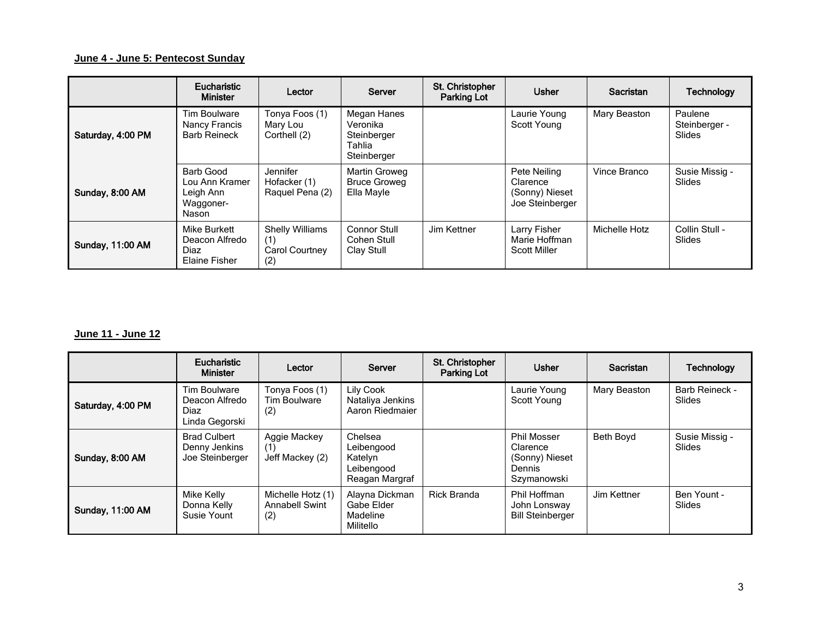## **June 4 - June 5: Pentecost Sunday**

|                         | Eucharistic<br><b>Minister</b>                                 | Lector                                                 | Server                                                          | St. Christopher<br>Parking Lot | <b>Usher</b>                                                  | Sacristan     | <b>Technology</b>                         |
|-------------------------|----------------------------------------------------------------|--------------------------------------------------------|-----------------------------------------------------------------|--------------------------------|---------------------------------------------------------------|---------------|-------------------------------------------|
| Saturday, 4:00 PM       | Tim Boulware<br>Nancy Francis<br><b>Barb Reineck</b>           | Tonya Foos (1)<br>Mary Lou<br>Corthell (2)             | Megan Hanes<br>Veronika<br>Steinberger<br>Tahlia<br>Steinberger |                                | Laurie Young<br>Scott Young                                   | Mary Beaston  | Paulene<br>Steinberger -<br><b>Slides</b> |
| Sunday, 8:00 AM         | Barb Good<br>Lou Ann Kramer<br>Leigh Ann<br>Waggoner-<br>Nason | Jennifer<br>Hofacker (1)<br>Raquel Pena (2)            | Martin Groweg<br><b>Bruce Groweg</b><br>Ella Mayle              |                                | Pete Neiling<br>Clarence<br>(Sonny) Nieset<br>Joe Steinberger | Vince Branco  | Susie Missig -<br><b>Slides</b>           |
| <b>Sunday, 11:00 AM</b> | Mike Burkett<br>Deacon Alfredo<br>Diaz<br>Elaine Fisher        | <b>Shelly Williams</b><br>(1)<br>Carol Courtney<br>(2) | <b>Connor Stull</b><br>Cohen Stull<br>Clay Stull                | Jim Kettner                    | Larry Fisher<br>Marie Hoffman<br><b>Scott Miller</b>          | Michelle Hotz | Collin Stull -<br>Slides                  |

#### **June 11 - June 12**

|                         | Eucharistic<br><b>Minister</b>                           | Lector                                            | Server                                                           | St. Christopher<br><b>Parking Lot</b> | <b>Usher</b>                                                              | Sacristan    | <b>Technology</b>        |
|-------------------------|----------------------------------------------------------|---------------------------------------------------|------------------------------------------------------------------|---------------------------------------|---------------------------------------------------------------------------|--------------|--------------------------|
| Saturday, 4:00 PM       | Tim Boulware<br>Deacon Alfredo<br>Diaz<br>Linda Gegorski | Tonya Foos (1)<br>Tim Boulware<br>(2)             | Lily Cook<br>Nataliya Jenkins<br>Aaron Riedmaier                 |                                       | Laurie Young<br>Scott Young                                               | Mary Beaston | Barb Reineck -<br>Slides |
| Sunday, 8:00 AM         | <b>Brad Culbert</b><br>Denny Jenkins<br>Joe Steinberger  | Aggie Mackey<br>(1)<br>Jeff Mackey (2)            | Chelsea<br>Leibengood<br>Katelyn<br>Leibengood<br>Reagan Margraf |                                       | <b>Phil Mosser</b><br>Clarence<br>(Sonny) Nieset<br>Dennis<br>Szymanowski | Beth Boyd    | Susie Missig -<br>Slides |
| <b>Sunday, 11:00 AM</b> | Mike Kelly<br>Donna Kelly<br>Susie Yount                 | Michelle Hotz (1)<br><b>Annabell Swint</b><br>(2) | Alayna Dickman<br>Gabe Elder<br>Madeline<br>Militello            | <b>Rick Branda</b>                    | Phil Hoffman<br>John Lonsway<br><b>Bill Steinberger</b>                   | Jim Kettner  | Ben Yount -<br>Slides    |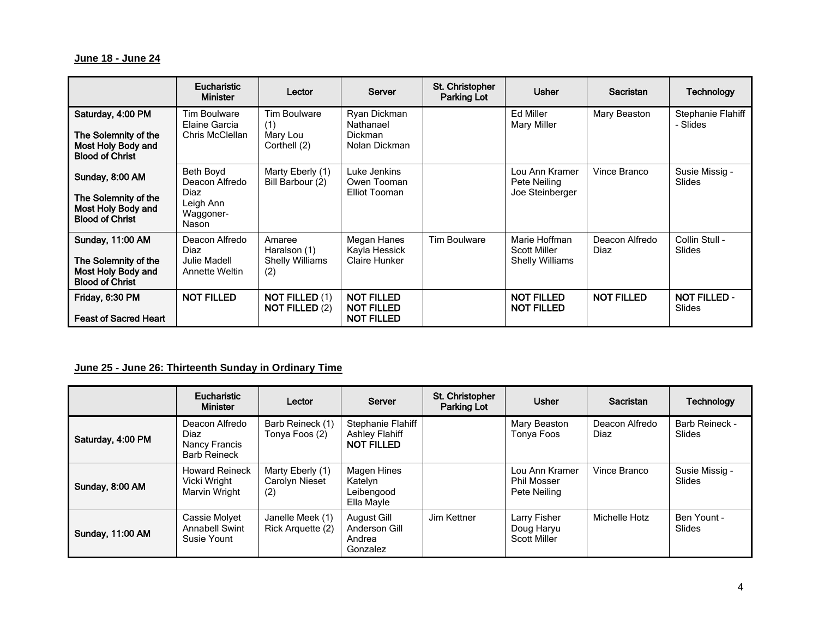#### **June 18 - June 24**

|                                                                                                 | Eucharistic<br><b>Minister</b>                                         | Lector                                                  | Server                                                      | St. Christopher<br><b>Parking Lot</b> | <b>Usher</b>                                                   | Sacristan              | <b>Technology</b>               |
|-------------------------------------------------------------------------------------------------|------------------------------------------------------------------------|---------------------------------------------------------|-------------------------------------------------------------|---------------------------------------|----------------------------------------------------------------|------------------------|---------------------------------|
| Saturday, 4:00 PM<br>The Solemnity of the<br>Most Holy Body and<br><b>Blood of Christ</b>       | Tim Boulware<br>Elaine Garcia<br>Chris McClellan                       | Tim Boulware<br>(1)<br>Mary Lou<br>Corthell (2)         | Ryan Dickman<br>Nathanael<br>Dickman<br>Nolan Dickman       |                                       | Ed Miller<br><b>Mary Miller</b>                                | Mary Beaston           | Stephanie Flahiff<br>- Slides   |
| Sunday, 8:00 AM<br>The Solemnity of the<br>Most Holy Body and<br><b>Blood of Christ</b>         | Beth Boyd<br>Deacon Alfredo<br>Diaz<br>Leigh Ann<br>Waggoner-<br>Nason | Marty Eberly (1)<br>Bill Barbour (2)                    | Luke Jenkins<br>Owen Tooman<br>Elliot Tooman                |                                       | Lou Ann Kramer<br>Pete Neiling<br>Joe Steinberger              | Vince Branco           | Susie Missig -<br><b>Slides</b> |
| <b>Sunday, 11:00 AM</b><br>The Solemnity of the<br>Most Holy Body and<br><b>Blood of Christ</b> | Deacon Alfredo<br>Diaz<br>Julie Madell<br>Annette Weltin               | Amaree<br>Haralson (1)<br><b>Shelly Williams</b><br>(2) | Megan Hanes<br>Kayla Hessick<br>Claire Hunker               | <b>Tim Boulware</b>                   | Marie Hoffman<br><b>Scott Miller</b><br><b>Shelly Williams</b> | Deacon Alfredo<br>Diaz | Collin Stull -<br>Slides        |
| Friday, 6:30 PM<br><b>Feast of Sacred Heart</b>                                                 | <b>NOT FILLED</b>                                                      | <b>NOT FILLED (1)</b><br><b>NOT FILLED (2)</b>          | <b>NOT FILLED</b><br><b>NOT FILLED</b><br><b>NOT FILLED</b> |                                       | <b>NOT FILLED</b><br><b>NOT FILLED</b>                         | <b>NOT FILLED</b>      | <b>NOT FILLED -</b><br>Slides   |

## **June 25 - June 26: Thirteenth Sunday in Ordinary Time**

|                         | Eucharistic<br><b>Minister</b>                                 | Lector                                    | Server                                                          | St. Christopher<br>Parking Lot | <b>Usher</b>                                         | Sacristan              | <b>Technology</b>        |
|-------------------------|----------------------------------------------------------------|-------------------------------------------|-----------------------------------------------------------------|--------------------------------|------------------------------------------------------|------------------------|--------------------------|
| Saturday, 4:00 PM       | Deacon Alfredo<br>Diaz<br>Nancy Francis<br><b>Barb Reineck</b> | Barb Reineck (1)<br>Tonya Foos (2)        | Stephanie Flahiff<br><b>Ashley Flahiff</b><br><b>NOT FILLED</b> |                                | Mary Beaston<br>Tonya Foos                           | Deacon Alfredo<br>Diaz | Barb Reineck -<br>Slides |
| Sunday, 8:00 AM         | <b>Howard Reineck</b><br>Vicki Wright<br>Marvin Wright         | Marty Eberly (1)<br>Carolyn Nieset<br>(2) | Magen Hines<br>Katelyn<br>Leibengood<br>Ella Mayle              |                                | Lou Ann Kramer<br><b>Phil Mosser</b><br>Pete Neiling | Vince Branco           | Susie Missig -<br>Slides |
| <b>Sunday, 11:00 AM</b> | Cassie Molyet<br><b>Annabell Swint</b><br>Susie Yount          | Janelle Meek (1)<br>Rick Arguette (2)     | August Gill<br>Anderson Gill<br>Andrea<br>Gonzalez              | Jim Kettner                    | Larry Fisher<br>Doug Haryu<br><b>Scott Miller</b>    | Michelle Hotz          | Ben Yount -<br>Slides    |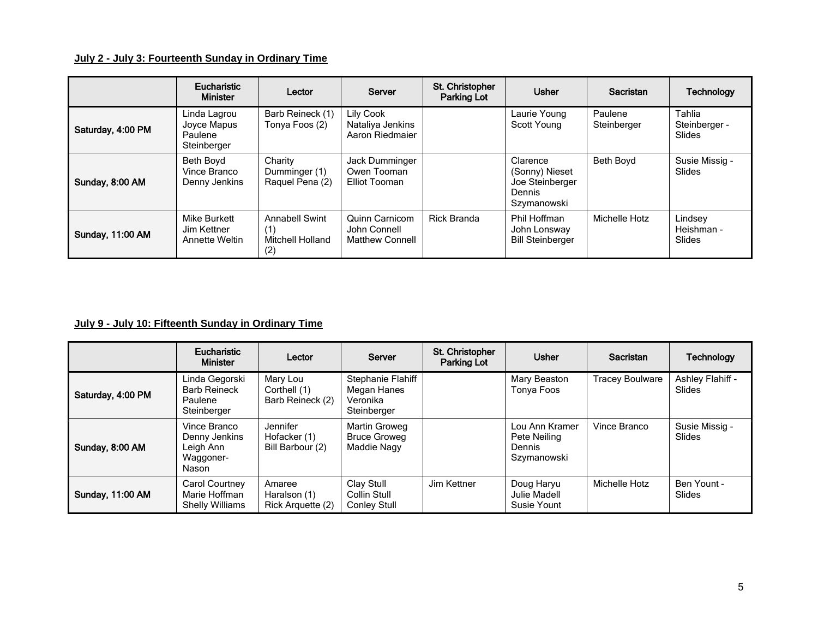## **July 2 - July 3: Fourteenth Sunday in Ordinary Time**

|                         | Eucharistic<br><b>Minister</b>                        | Lector                                                         | Server                                                   | St. Christopher<br>Parking Lot | <b>Usher</b>                                                           | Sacristan              | <b>Technology</b>                 |
|-------------------------|-------------------------------------------------------|----------------------------------------------------------------|----------------------------------------------------------|--------------------------------|------------------------------------------------------------------------|------------------------|-----------------------------------|
| Saturday, 4:00 PM       | Linda Lagrou<br>Joyce Mapus<br>Paulene<br>Steinberger | Barb Reineck (1)<br>Tonya Foos (2)                             | Lily Cook<br>Nataliya Jenkins<br>Aaron Riedmaier         |                                | Laurie Young<br>Scott Young                                            | Paulene<br>Steinberger | Tahlia<br>Steinberger -<br>Slides |
| Sunday, 8:00 AM         | Beth Bovd<br>Vince Branco<br>Denny Jenkins            | Charity<br>Dumminger (1)<br>Raquel Pena (2)                    | Jack Dumminger<br>Owen Tooman<br>Elliot Tooman           |                                | Clarence<br>(Sonny) Nieset<br>Joe Steinberger<br>Dennis<br>Szymanowski | Beth Boyd              | Susie Missig -<br><b>Slides</b>   |
| <b>Sunday, 11:00 AM</b> | Mike Burkett<br>Jim Kettner<br><b>Annette Weltin</b>  | <b>Annabell Swint</b><br>(1)<br><b>Mitchell Holland</b><br>(2) | Quinn Carnicom<br>John Connell<br><b>Matthew Connell</b> | <b>Rick Branda</b>             | Phil Hoffman<br>John Lonsway<br><b>Bill Steinberger</b>                | Michelle Hotz          | Lindsey<br>Heishman -<br>Slides   |

## **July 9 - July 10: Fifteenth Sunday in Ordinary Time**

|                         | Eucharistic<br><b>Minister</b>                                   | Lector                                       | Server                                                      | St. Christopher<br>Parking Lot | <b>Usher</b>                                            | Sacristan              | Technology                      |
|-------------------------|------------------------------------------------------------------|----------------------------------------------|-------------------------------------------------------------|--------------------------------|---------------------------------------------------------|------------------------|---------------------------------|
| Saturday, 4:00 PM       | Linda Gegorski<br><b>Barb Reineck</b><br>Paulene<br>Steinberger  | Mary Lou<br>Corthell (1)<br>Barb Reineck (2) | Stephanie Flahiff<br>Megan Hanes<br>Veronika<br>Steinberger |                                | Mary Beaston<br>Tonya Foos                              | <b>Tracey Boulware</b> | Ashley Flahiff -<br>Slides      |
| Sunday, 8:00 AM         | Vince Branco<br>Denny Jenkins<br>Leigh Ann<br>Waggoner-<br>Nason | Jennifer<br>Hofacker (1)<br>Bill Barbour (2) | Martin Groweg<br><b>Bruce Groweg</b><br>Maddie Nagy         |                                | Lou Ann Kramer<br>Pete Neiling<br>Dennis<br>Szymanowski | Vince Branco           | Susie Missig -<br><b>Slides</b> |
| <b>Sunday, 11:00 AM</b> | Carol Courtney<br>Marie Hoffman<br><b>Shelly Williams</b>        | Amaree<br>Haralson (1)<br>Rick Arguette (2)  | Clay Stull<br>Collin Stull<br>Conley Stull                  | Jim Kettner                    | Doug Haryu<br><b>Julie Madell</b><br>Susie Yount        | Michelle Hotz          | Ben Yount -<br><b>Slides</b>    |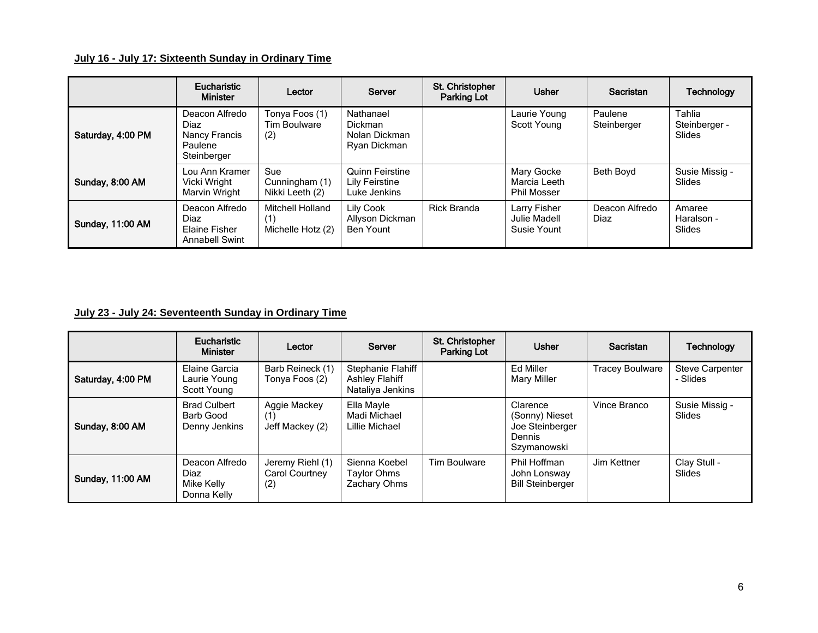## **July 16 - July 17: Sixteenth Sunday in Ordinary Time**

|                         | Eucharistic<br><b>Minister</b>                                    | Lector                                             | Server                                                | St. Christopher<br><b>Parking Lot</b> | <b>Usher</b>                                     | Sacristan              | <b>Technology</b>                        |
|-------------------------|-------------------------------------------------------------------|----------------------------------------------------|-------------------------------------------------------|---------------------------------------|--------------------------------------------------|------------------------|------------------------------------------|
| Saturday, 4:00 PM       | Deacon Alfredo<br>Diaz<br>Nancy Francis<br>Paulene<br>Steinberger | Tonya Foos (1)<br>Tim Boulware<br>(2)              | Nathanael<br>Dickman<br>Nolan Dickman<br>Ryan Dickman |                                       | Laurie Young<br>Scott Young                      | Paulene<br>Steinberger | Tahlia<br>Steinberger -<br><b>Slides</b> |
| Sunday, 8:00 AM         | Lou Ann Kramer<br>Vicki Wright<br>Marvin Wright                   | Sue<br>Cunningham (1)<br>Nikki Leeth (2)           | Quinn Feirstine<br>Lily Feirstine<br>Luke Jenkins     |                                       | Mary Gocke<br>Marcia Leeth<br><b>Phil Mosser</b> | Beth Boyd              | Susie Missig -<br>Slides                 |
| <b>Sunday, 11:00 AM</b> | Deacon Alfredo<br>Diaz<br>Elaine Fisher<br><b>Annabell Swint</b>  | <b>Mitchell Holland</b><br>1)<br>Michelle Hotz (2) | Lily Cook<br>Allyson Dickman<br><b>Ben Yount</b>      | <b>Rick Branda</b>                    | Larry Fisher<br>Julie Madell<br>Susie Yount      | Deacon Alfredo<br>Diaz | Amaree<br>Haralson -<br>Slides           |

## **July 23 - July 24: Seventeenth Sunday in Ordinary Time**

|                         | Eucharistic<br><b>Minister</b>                      | Lector                                    | Server                                                         | St. Christopher<br>Parking Lot | <b>Usher</b>                                                           | Sacristan              | <b>Technology</b>                  |
|-------------------------|-----------------------------------------------------|-------------------------------------------|----------------------------------------------------------------|--------------------------------|------------------------------------------------------------------------|------------------------|------------------------------------|
| Saturday, 4:00 PM       | Elaine Garcia<br>Laurie Young<br>Scott Young        | Barb Reineck (1)<br>Tonya Foos (2)        | Stephanie Flahiff<br><b>Ashley Flahiff</b><br>Nataliya Jenkins |                                | Ed Miller<br>Mary Miller                                               | <b>Tracey Boulware</b> | <b>Steve Carpenter</b><br>- Slides |
| Sunday, 8:00 AM         | <b>Brad Culbert</b><br>Barb Good<br>Denny Jenkins   | Aggie Mackey<br>(1)<br>Jeff Mackey (2)    | Ella Mayle<br>Madi Michael<br>Lillie Michael                   |                                | Clarence<br>(Sonny) Nieset<br>Joe Steinberger<br>Dennis<br>Szymanowski | Vince Branco           | Susie Missig -<br>Slides           |
| <b>Sunday, 11:00 AM</b> | Deacon Alfredo<br>Diaz<br>Mike Kelly<br>Donna Kelly | Jeremy Riehl (1)<br>Carol Courtney<br>(2) | Sienna Koebel<br>Taylor Ohms<br>Zachary Ohms                   | Tim Boulware                   | Phil Hoffman<br>John Lonsway<br><b>Bill Steinberger</b>                | Jim Kettner            | Clay Stull -<br>Slides             |